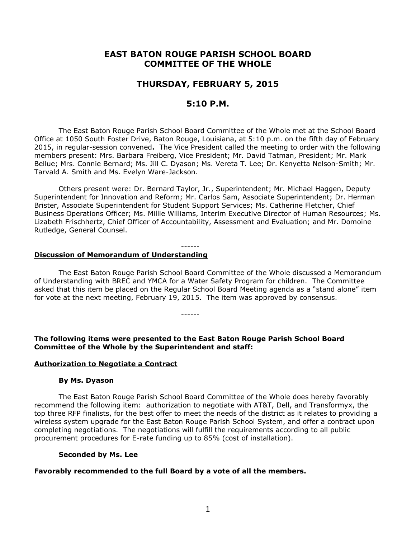# **EAST BATON ROUGE PARISH SCHOOL BOARD COMMITTEE OF THE WHOLE**

# **THURSDAY, FEBRUARY 5, 2015**

# **5:10 P.M.**

The East Baton Rouge Parish School Board Committee of the Whole met at the School Board Office at 1050 South Foster Drive, Baton Rouge, Louisiana, at 5:10 p.m. on the fifth day of February 2015, in regular-session convened**.** The Vice President called the meeting to order with the following members present: Mrs. Barbara Freiberg, Vice President; Mr. David Tatman, President; Mr. Mark Bellue; Mrs. Connie Bernard; Ms. Jill C. Dyason; Ms. Vereta T. Lee; Dr. Kenyetta Nelson-Smith; Mr. Tarvald A. Smith and Ms. Evelyn Ware-Jackson.

Others present were: Dr. Bernard Taylor, Jr., Superintendent; Mr. Michael Haggen, Deputy Superintendent for Innovation and Reform; Mr. Carlos Sam, Associate Superintendent; Dr. Herman Brister, Associate Superintendent for Student Support Services; Ms. Catherine Fletcher, Chief Business Operations Officer; Ms. Millie Williams, Interim Executive Director of Human Resources; Ms. Lizabeth Frischhertz, Chief Officer of Accountability, Assessment and Evaluation; and Mr. Domoine Rutledge, General Counsel.

#### ------ **Discussion of Memorandum of Understanding**

The East Baton Rouge Parish School Board Committee of the Whole discussed a Memorandum of Understanding with BREC and YMCA for a Water Safety Program for children. The Committee asked that this item be placed on the Regular School Board Meeting agenda as a "stand alone" item for vote at the next meeting, February 19, 2015. The item was approved by consensus.

**The following items were presented to the East Baton Rouge Parish School Board Committee of the Whole by the Superintendent and staff:**

------

#### **Authorization to Negotiate a Contract**

#### **By Ms. Dyason**

The East Baton Rouge Parish School Board Committee of the Whole does hereby favorably recommend the following item: authorization to negotiate with AT&T, Dell, and Transformyx, the top three RFP finalists, for the best offer to meet the needs of the district as it relates to providing a wireless system upgrade for the East Baton Rouge Parish School System, and offer a contract upon completing negotiations. The negotiations will fulfill the requirements according to all public procurement procedures for E-rate funding up to 85% (cost of installation).

#### **Seconded by Ms. Lee**

#### **Favorably recommended to the full Board by a vote of all the members.**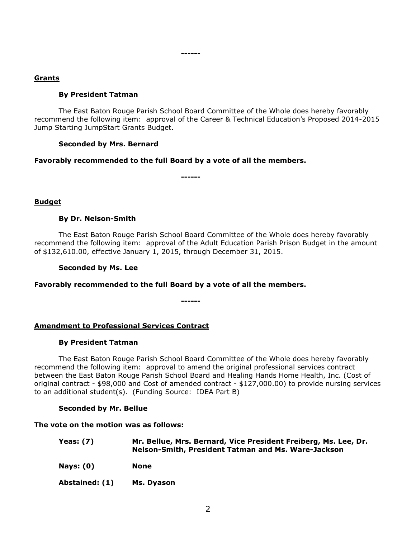#### **------**

## **Grants**

## **By President Tatman**

The East Baton Rouge Parish School Board Committee of the Whole does hereby favorably recommend the following item: approval of the Career & Technical Education's Proposed 2014-2015 Jump Starting JumpStart Grants Budget.

## **Seconded by Mrs. Bernard**

## **Favorably recommended to the full Board by a vote of all the members.**

**------**

## **Budget**

## **By Dr. Nelson-Smith**

The East Baton Rouge Parish School Board Committee of the Whole does hereby favorably recommend the following item: approval of the Adult Education Parish Prison Budget in the amount of \$132,610.00, effective January 1, 2015, through December 31, 2015.

## **Seconded by Ms. Lee**

#### **Favorably recommended to the full Board by a vote of all the members.**

**------**

# **Amendment to Professional Services Contract**

#### **By President Tatman**

The East Baton Rouge Parish School Board Committee of the Whole does hereby favorably recommend the following item: approval to amend the original professional services contract between the East Baton Rouge Parish School Board and Healing Hands Home Health, Inc. (Cost of original contract - \$98,000 and Cost of amended contract - \$127,000.00) to provide nursing services to an additional student(s). (Funding Source: IDEA Part B)

#### **Seconded by Mr. Bellue**

#### **The vote on the motion was as follows:**

| Yeas: $(7)$ | Mr. Bellue, Mrs. Bernard, Vice President Freiberg, Ms. Lee, Dr.<br>Nelson-Smith, President Tatman and Ms. Ware-Jackson |
|-------------|------------------------------------------------------------------------------------------------------------------------|
| Nays: $(0)$ | None                                                                                                                   |

**Abstained: (1) Ms. Dyason**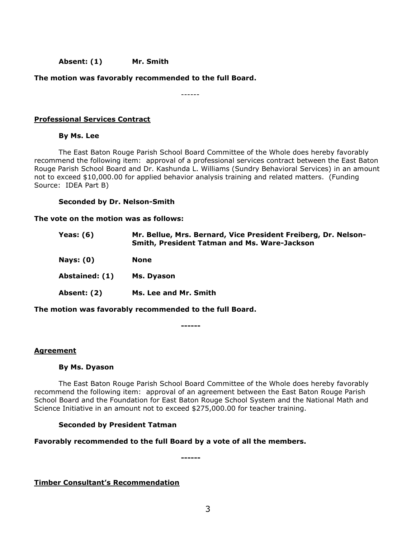## **Absent: (1) Mr. Smith**

## **The motion was favorably recommended to the full Board.**

------

## **Professional Services Contract**

## **By Ms. Lee**

The East Baton Rouge Parish School Board Committee of the Whole does hereby favorably recommend the following item: approval of a professional services contract between the East Baton Rouge Parish School Board and Dr. Kashunda L. Williams (Sundry Behavioral Services) in an amount not to exceed \$10,000.00 for applied behavior analysis training and related matters. (Funding Source: IDEA Part B)

#### **Seconded by Dr. Nelson-Smith**

#### **The vote on the motion was as follows:**

| <b>Yeas: (6)</b> | Mr. Bellue, Mrs. Bernard, Vice President Freiberg, Dr. Nelson-<br>Smith, President Tatman and Ms. Ware-Jackson |
|------------------|----------------------------------------------------------------------------------------------------------------|
| <b>Nays: (0)</b> | <b>None</b>                                                                                                    |
| Abstained: (1)   | Ms. Dyason                                                                                                     |
| Absent: (2)      | Ms. Lee and Mr. Smith                                                                                          |
|                  |                                                                                                                |

**The motion was favorably recommended to the full Board.**

**------**

#### **Agreement**

#### **By Ms. Dyason**

The East Baton Rouge Parish School Board Committee of the Whole does hereby favorably recommend the following item: approval of an agreement between the East Baton Rouge Parish School Board and the Foundation for East Baton Rouge School System and the National Math and Science Initiative in an amount not to exceed \$275,000.00 for teacher training.

#### **Seconded by President Tatman**

#### **Favorably recommended to the full Board by a vote of all the members.**

**------**

**Timber Consultant's Recommendation**